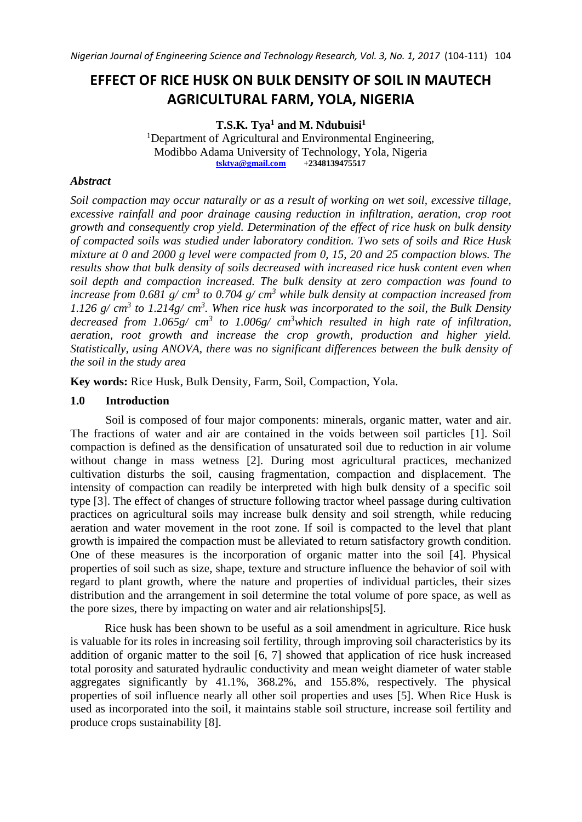# **EFFECT OF RICE HUSK ON BULK DENSITY OF SOIL IN MAUTECH AGRICULTURAL FARM, YOLA, NIGERIA**

**T.S.K. Tya<sup>1</sup> and M. Ndubuisi<sup>1</sup>** <sup>1</sup>Department of Agricultural and Environmental Engineering, Modibbo Adama University of Technology, Yola, Nigeria<br>tsktva@gmail.com +2348139475517 **tsktya@gmail.com** 

#### *Abstract*

*Soil compaction may occur naturally or as a result of working on wet soil, excessive tillage, excessive rainfall and poor drainage causing reduction in infiltration, aeration, crop root growth and consequently crop yield. Determination of the effect of rice husk on bulk density of compacted soils was studied under laboratory condition. Two sets of soils and Rice Husk mixture at 0 and 2000 g level were compacted from 0, 15, 20 and 25 compaction blows. The results show that bulk density of soils decreased with increased rice husk content even when soil depth and compaction increased. The bulk density at zero compaction was found to increase from 0.681 g/ cm<sup>3</sup> to 0.704 g/ cm<sup>3</sup> while bulk density at compaction increased from 1.126 g/ cm<sup>3</sup> to 1.214g/ cm<sup>3</sup> . When rice husk was incorporated to the soil, the Bulk Density decreased from 1.065g/ cm<sup>3</sup> to 1.006g/ cm<sup>3</sup>which resulted in high rate of infiltration, aeration, root growth and increase the crop growth, production and higher yield. Statistically, using ANOVA, there was no significant differences between the bulk density of the soil in the study area*

**Key words:** Rice Husk, Bulk Density, Farm, Soil, Compaction, Yola.

#### **1.0 Introduction**

Soil is composed of four major components: minerals, organic matter, water and air. The fractions of water and air are contained in the voids between soil particles [1]. Soil compaction is defined as the densification of unsaturated soil due to reduction in air volume without change in mass wetness [2]. During most agricultural practices, mechanized cultivation disturbs the soil, causing fragmentation, compaction and displacement. The intensity of compaction can readily be interpreted with high bulk density of a specific soil type [3]. The effect of changes of structure following tractor wheel passage during cultivation practices on agricultural soils may increase bulk density and soil strength, while reducing aeration and water movement in the root zone. If soil is compacted to the level that plant growth is impaired the compaction must be alleviated to return satisfactory growth condition. One of these measures is the incorporation of organic matter into the soil [4]. Physical properties of soil such as size, shape, texture and structure influence the behavior of soil with regard to plant growth, where the nature and properties of individual particles, their sizes distribution and the arrangement in soil determine the total volume of pore space, as well as the pore sizes, there by impacting on water and air relationships[5].

Rice husk has been shown to be useful as a soil amendment in agriculture. Rice husk is valuable for its roles in increasing soil fertility, through improving soil characteristics by its addition of organic matter to the soil [6, 7] showed that application of rice husk increased total porosity and saturated hydraulic conductivity and mean weight diameter of water stable aggregates significantly by 41.1%, 368.2%, and 155.8%, respectively. The physical properties of soil influence nearly all other soil properties and uses [5]. When Rice Husk is used as incorporated into the soil, it maintains stable soil structure, increase soil fertility and produce crops sustainability [8].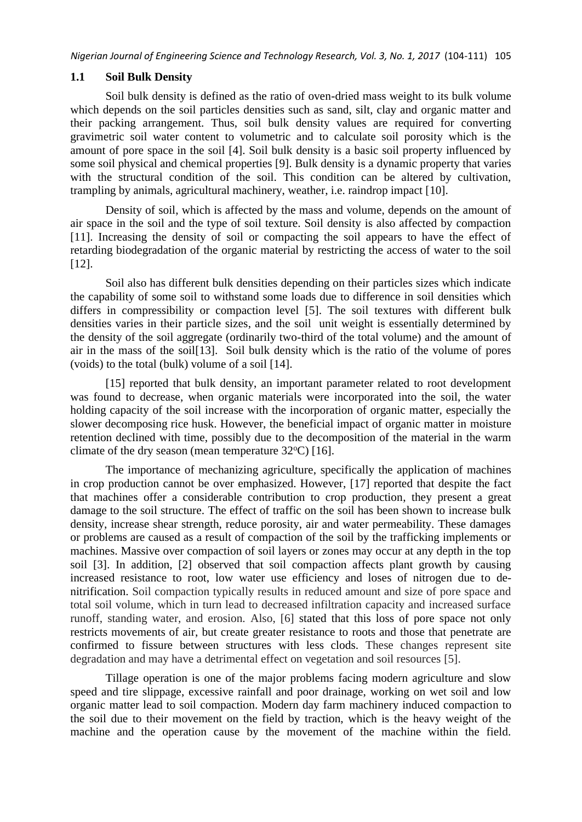#### **1.1 Soil Bulk Density**

Soil bulk density is defined as the ratio of oven-dried mass weight to its bulk volume which depends on the soil particles densities such as sand, silt, clay and organic matter and their packing arrangement. Thus, soil bulk density values are required for converting gravimetric soil water content to volumetric and to calculate soil porosity which is the amount of pore space in the soil [4]. Soil bulk density is a basic soil property influenced by some soil physical and chemical properties [9]. Bulk density is a dynamic property that varies with the structural condition of the soil. This condition can be altered by cultivation, trampling by animals, agricultural machinery, weather, i.e. raindrop impact [10].

Density of soil, which is affected by the mass and volume, depends on the amount of air space in the soil and the type of soil texture. Soil density is also affected by compaction [11]. Increasing the density of soil or compacting the soil appears to have the effect of retarding biodegradation of the organic material by restricting the access of water to the soil [12].

Soil also has different bulk densities depending on their particles sizes which indicate the capability of some soil to withstand some loads due to difference in soil densities which differs in compressibility or compaction level [5]. The soil textures with different bulk densities varies in their particle sizes, and the soil unit weight is essentially determined by the density of the soil aggregate (ordinarily two-third of the total volume) and the amount of air in the mass of the soil[13]. Soil bulk density which is the ratio of the volume of pores (voids) to the total (bulk) volume of a soil [14].

[15] reported that bulk density, an important parameter related to root development was found to decrease, when organic materials were incorporated into the soil, the water holding capacity of the soil increase with the incorporation of organic matter, especially the slower decomposing rice husk. However, the beneficial impact of organic matter in moisture retention declined with time, possibly due to the decomposition of the material in the warm climate of the dry season (mean temperature  $32^{\circ}$ C) [16].

The importance of mechanizing agriculture, specifically the application of machines in crop production cannot be over emphasized. However, [17] reported that despite the fact that machines offer a considerable contribution to crop production, they present a great damage to the soil structure. The effect of traffic on the soil has been shown to increase bulk density, increase shear strength, reduce porosity, air and water permeability. These damages or problems are caused as a result of compaction of the soil by the trafficking implements or machines. Massive over compaction of soil layers or zones may occur at any depth in the top soil [3]. In addition, [2] observed that soil compaction affects plant growth by causing increased resistance to root, low water use efficiency and loses of nitrogen due to denitrification. Soil compaction typically results in reduced amount and size of pore space and total soil volume, which in turn lead to decreased infiltration capacity and increased surface runoff, standing water, and erosion. Also, [6] stated that this loss of pore space not only restricts movements of air, but create greater resistance to roots and those that penetrate are confirmed to fissure between structures with less clods. These changes represent site degradation and may have a detrimental effect on vegetation and soil resources [5].

Tillage operation is one of the major problems facing modern agriculture and slow speed and tire slippage, excessive rainfall and poor drainage, working on wet soil and low organic matter lead to soil compaction. Modern day farm machinery induced compaction to the soil due to their movement on the field by traction, which is the heavy weight of the machine and the operation cause by the movement of the machine within the field.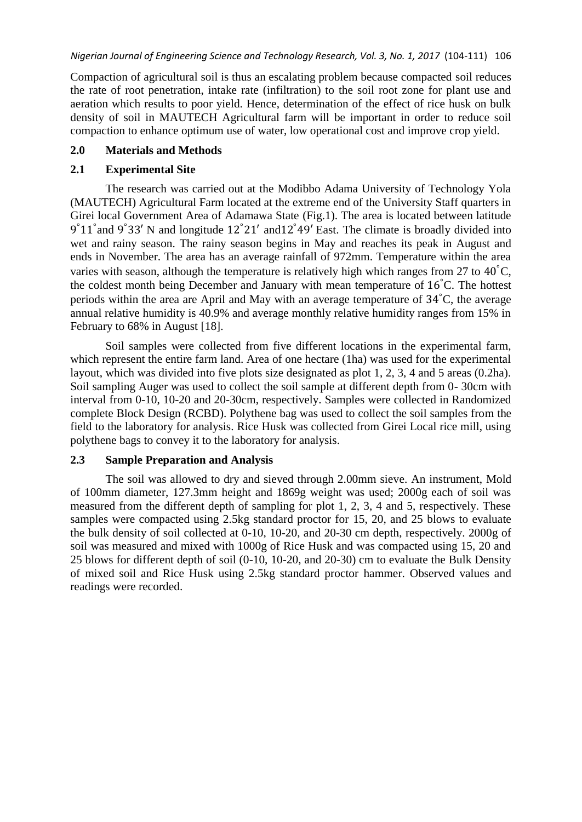Compaction of agricultural soil is thus an escalating problem because compacted soil reduces the rate of root penetration, intake rate (infiltration) to the soil root zone for plant use and aeration which results to poor yield. Hence, determination of the effect of rice husk on bulk density of soil in MAUTECH Agricultural farm will be important in order to reduce soil compaction to enhance optimum use of water, low operational cost and improve crop yield.

#### **2.0 Materials and Methods**

## **2.1 Experimental Site**

The research was carried out at the Modibbo Adama University of Technology Yola (MAUTECH) Agricultural Farm located at the extreme end of the University Staff quarters in Girei local Government Area of Adamawa State (Fig.1). The area is located between latitude 9°11° and 9°33′ N and longitude 12°21′ and 12°49′ East. The climate is broadly divided into wet and rainy season. The rainy season begins in May and reaches its peak in August and ends in November. The area has an average rainfall of 972mm. Temperature within the area varies with season, although the temperature is relatively high which ranges from 27 to  $40^{\circ}$ C, the coldest month being December and January with mean temperature of 16°C. The hottest periods within the area are April and May with an average temperature of 34°C, the average annual relative humidity is 40.9% and average monthly relative humidity ranges from 15% in February to 68% in August [18].

Soil samples were collected from five different locations in the experimental farm, which represent the entire farm land. Area of one hectare (1ha) was used for the experimental layout, which was divided into five plots size designated as plot 1, 2, 3, 4 and 5 areas (0.2ha). Soil sampling Auger was used to collect the soil sample at different depth from 0- 30cm with interval from 0-10, 10-20 and 20-30cm, respectively. Samples were collected in Randomized complete Block Design (RCBD). Polythene bag was used to collect the soil samples from the field to the laboratory for analysis. Rice Husk was collected from Girei Local rice mill, using polythene bags to convey it to the laboratory for analysis.

# **2.3 Sample Preparation and Analysis**

The soil was allowed to dry and sieved through 2.00mm sieve. An instrument, Mold of 100mm diameter, 127.3mm height and 1869g weight was used; 2000g each of soil was measured from the different depth of sampling for plot 1, 2, 3, 4 and 5, respectively. These samples were compacted using 2.5kg standard proctor for 15, 20, and 25 blows to evaluate the bulk density of soil collected at 0-10, 10-20, and 20-30 cm depth, respectively. 2000g of soil was measured and mixed with 1000g of Rice Husk and was compacted using 15, 20 and 25 blows for different depth of soil (0-10, 10-20, and 20-30) cm to evaluate the Bulk Density of mixed soil and Rice Husk using 2.5kg standard proctor hammer. Observed values and readings were recorded.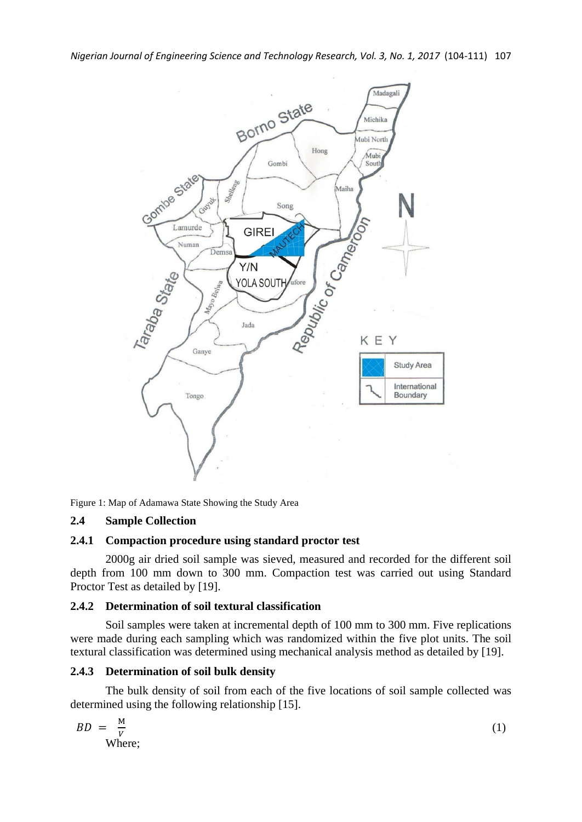

Figure 1: Map of Adamawa State Showing the Study Area

#### **2.4 Sample Collection**

#### **2.4.1 Compaction procedure using standard proctor test**

2000g air dried soil sample was sieved, measured and recorded for the different soil depth from 100 mm down to 300 mm. Compaction test was carried out using Standard Proctor Test as detailed by [19].

#### **2.4.2 Determination of soil textural classification**

Soil samples were taken at incremental depth of 100 mm to 300 mm. Five replications were made during each sampling which was randomized within the five plot units. The soil textural classification was determined using mechanical analysis method as detailed by [19].

#### **2.4.3 Determination of soil bulk density**

The bulk density of soil from each of the five locations of soil sample collected was determined using the following relationship [15].

$$
BD = \frac{M}{V}
$$
 (1)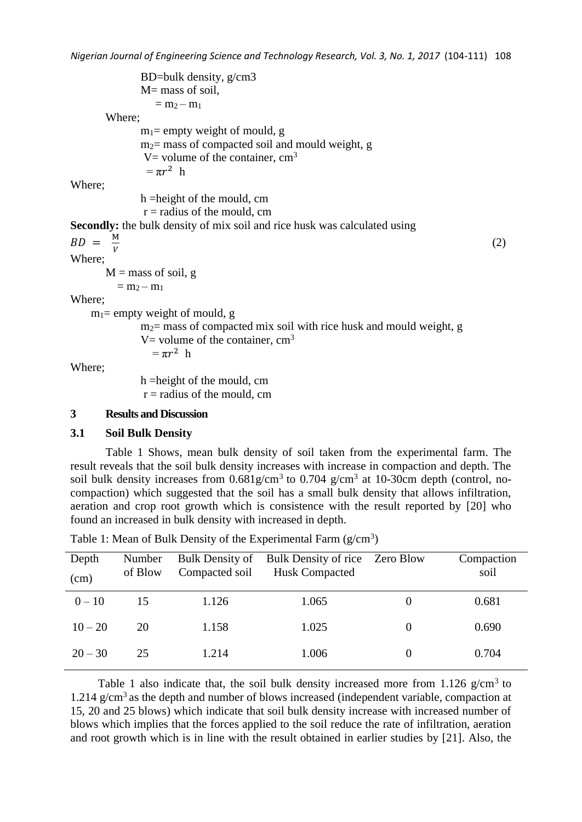BD=bulk density, g/cm3 M= mass of soil,  $= m<sub>2</sub> - m<sub>1</sub>$ Where;  $m_1$ = empty weight of mould, g  $m<sub>2</sub>=$  mass of compacted soil and mould weight, g V= volume of the container,  $cm<sup>3</sup>$  $= \pi r^2$  h Where; h =height of the mould, cm  $r =$  radius of the mould, cm **Secondly:** the bulk density of mix soil and rice husk was calculated using  $BD = \frac{M}{V}$ V (2) Where;  $M =$  mass of soil, g  $= m_2 - m_1$ Where;  $m_1$ = empty weight of mould, g  $m<sub>2</sub>=$  mass of compacted mix soil with rice husk and mould weight, g V = volume of the container,  $cm<sup>3</sup>$  $= \pi r^2$  h h =height of the mould, cm

Where;

 $r =$  radius of the mould, cm

## **3 Results and Discussion**

#### **3.1 Soil Bulk Density**

Table 1 Shows, mean bulk density of soil taken from the experimental farm. The result reveals that the soil bulk density increases with increase in compaction and depth. The soil bulk density increases from  $0.681$ g/cm<sup>3</sup> to  $0.704$  g/cm<sup>3</sup> at 10-30cm depth (control, nocompaction) which suggested that the soil has a small bulk density that allows infiltration, aeration and crop root growth which is consistence with the result reported by [20] who found an increased in bulk density with increased in depth.

| Depth<br>(cm) | Number<br>of Blow | Bulk Density of<br>Compacted soil | Bulk Density of rice Zero Blow<br>Husk Compacted | Compaction<br>soil |
|---------------|-------------------|-----------------------------------|--------------------------------------------------|--------------------|
| $0 - 10$      | 15                | 1.126                             | 1.065                                            | 0.681              |
| $10 - 20$     | 20                | 1.158                             | 1.025                                            | 0.690              |
| $20 - 30$     | 25                | 1.214                             | 1.006                                            | 0.704              |

Table 1: Mean of Bulk Density of the Experimental Farm  $(g/cm<sup>3</sup>)$ 

Table 1 also indicate that, the soil bulk density increased more from  $1.126$  g/cm<sup>3</sup> to 1.214  $g/cm<sup>3</sup>$  as the depth and number of blows increased (independent variable, compaction at 15, 20 and 25 blows) which indicate that soil bulk density increase with increased number of blows which implies that the forces applied to the soil reduce the rate of infiltration, aeration and root growth which is in line with the result obtained in earlier studies by [21]. Also, the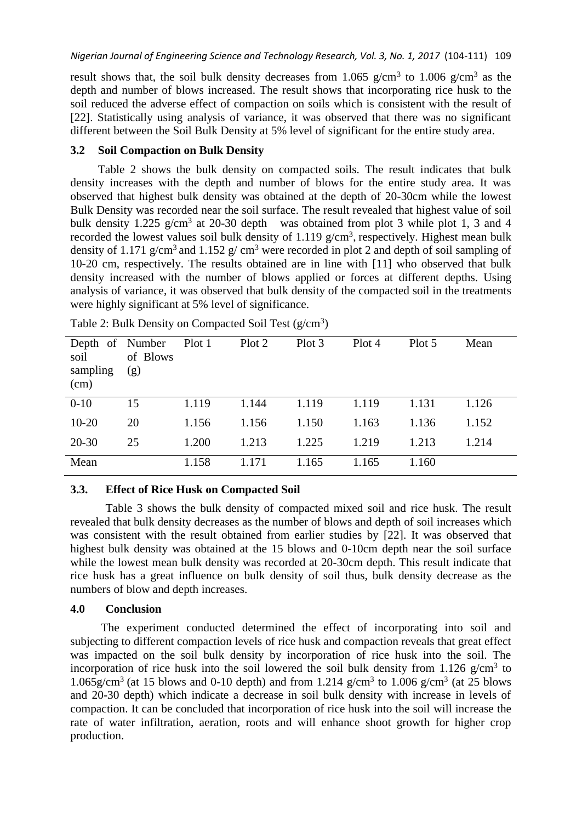result shows that, the soil bulk density decreases from 1.065  $g/cm^3$  to 1.006  $g/cm^3$  as the depth and number of blows increased. The result shows that incorporating rice husk to the soil reduced the adverse effect of compaction on soils which is consistent with the result of [22]. Statistically using analysis of variance, it was observed that there was no significant different between the Soil Bulk Density at 5% level of significant for the entire study area.

#### **3.2 Soil Compaction on Bulk Density**

Table 2 shows the bulk density on compacted soils. The result indicates that bulk density increases with the depth and number of blows for the entire study area. It was observed that highest bulk density was obtained at the depth of 20-30cm while the lowest Bulk Density was recorded near the soil surface. The result revealed that highest value of soil bulk density 1.225  $g/cm^3$  at 20-30 depth was obtained from plot 3 while plot 1, 3 and 4 recorded the lowest values soil bulk density of  $1.119$  g/cm<sup>3</sup>, respectively. Highest mean bulk density of 1.171 g/cm<sup>3</sup> and 1.152 g/ cm<sup>3</sup> were recorded in plot 2 and depth of soil sampling of 10-20 cm, respectively. The results obtained are in line with [11] who observed that bulk density increased with the number of blows applied or forces at different depths. Using analysis of variance, it was observed that bulk density of the compacted soil in the treatments were highly significant at 5% level of significance.

| Depth of Number<br>soil<br>sampling<br>(cm) | of Blows<br>(g) | Plot 1 | Plot 2 | Plot 3 | Plot 4 | Plot 5 | Mean  |
|---------------------------------------------|-----------------|--------|--------|--------|--------|--------|-------|
| $0 - 10$                                    | 15              | 1.119  | 1.144  | 1.119  | 1.119  | 1.131  | 1.126 |
| $10 - 20$                                   | 20              | 1.156  | 1.156  | 1.150  | 1.163  | 1.136  | 1.152 |
| $20 - 30$                                   | 25              | 1.200  | 1.213  | 1.225  | 1.219  | 1.213  | 1.214 |
| Mean                                        |                 | 1.158  | 1.171  | 1.165  | 1.165  | 1.160  |       |

Table 2: Bulk Density on Compacted Soil Test (g/cm<sup>3</sup>)

# **3.3. Effect of Rice Husk on Compacted Soil**

Table 3 shows the bulk density of compacted mixed soil and rice husk. The result revealed that bulk density decreases as the number of blows and depth of soil increases which was consistent with the result obtained from earlier studies by [22]. It was observed that highest bulk density was obtained at the 15 blows and 0-10cm depth near the soil surface while the lowest mean bulk density was recorded at 20-30cm depth. This result indicate that rice husk has a great influence on bulk density of soil thus, bulk density decrease as the numbers of blow and depth increases.

# **4.0 Conclusion**

The experiment conducted determined the effect of incorporating into soil and subjecting to different compaction levels of rice husk and compaction reveals that great effect was impacted on the soil bulk density by incorporation of rice husk into the soil. The incorporation of rice husk into the soil lowered the soil bulk density from  $1.126$  g/cm<sup>3</sup> to 1.065g/cm<sup>3</sup> (at 15 blows and 0-10 depth) and from 1.214 g/cm<sup>3</sup> to 1.006 g/cm<sup>3</sup> (at 25 blows and 20-30 depth) which indicate a decrease in soil bulk density with increase in levels of compaction. It can be concluded that incorporation of rice husk into the soil will increase the rate of water infiltration, aeration, roots and will enhance shoot growth for higher crop production.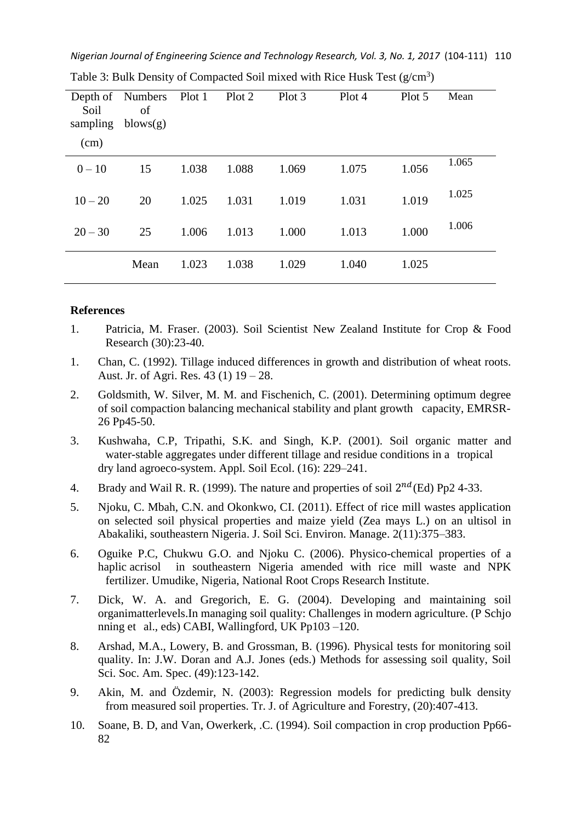*Nigerian Journal of Engineering Science and Technology Research, Vol. 3, No. 1, 2017* (104-111) 110

| Soil<br>sampling | Depth of Numbers<br>of<br>blows(g) | Plot 1 Plot 2 |       | Plot 3 | Plot 4 | Plot 5 | Mean  |
|------------------|------------------------------------|---------------|-------|--------|--------|--------|-------|
| (cm)             |                                    |               |       |        |        |        |       |
| $0 - 10$         | 15                                 | 1.038         | 1.088 | 1.069  | 1.075  | 1.056  | 1.065 |
| $10 - 20$        | 20                                 | 1.025         | 1.031 | 1.019  | 1.031  | 1.019  | 1.025 |
| $20 - 30$        | 25                                 | 1.006         | 1.013 | 1.000  | 1.013  | 1.000  | 1.006 |
|                  | Mean                               | 1.023         | 1.038 | 1.029  | 1.040  | 1.025  |       |

Table 3: Bulk Density of Compacted Soil mixed with Rice Husk Test  $(g/cm<sup>3</sup>)$ 

#### **References**

- 1. Patricia, M. Fraser. (2003). Soil Scientist [New Zealand Institute for Crop & Food](http://www.crop.cri.nz/)  [Research](http://www.crop.cri.nz/) (30):23-40.
- 1. Chan, C. (1992). Tillage induced differences in growth and distribution of wheat roots. Aust. Jr. of Agri. Res. 43 (1) 19 – 28.
- 2. Goldsmith, W. Silver, M. M. and Fischenich, C. (2001). Determining optimum degree of soil compaction balancing mechanical stability and plant growth capacity, EMRSR-26 Pp45-50.
- 3. Kushwaha, C.P, Tripathi, S.K. and Singh, K.P. (2001). Soil organic matter and water-stable aggregates under different tillage and residue conditions in a tropical dry land agroeco-system. Appl. Soil Ecol. (16): 229–241.
- 4. Brady and Wail R. R. (1999). The nature and properties of soil  $2^{nd}$ (Ed) Pp2 4-33.
- 5. Njoku, C. Mbah, C.N. and Okonkwo, CI. (2011). Effect of rice mill wastes application on selected soil physical properties and maize yield (Zea mays L.) on an ultisol in Abakaliki, southeastern Nigeria. J. Soil Sci. Environ. Manage. 2(11):375–383.
- 6. Oguike P.C, Chukwu G.O. and Njoku C. (2006). Physico-chemical properties of a haplic acrisol in southeastern Nigeria amended with rice mill waste and NPK fertilizer. Umudike, Nigeria, National Root Crops Research Institute.
- 7. Dick, W. A. and Gregorich, E. G. (2004). Developing and maintaining soil organimatterlevels.In managing soil quality: Challenges in modern agriculture. (P Schjo nning et al., eds) CABI, Wallingford, UK Pp103 –120.
- 8. Arshad, M.A., Lowery, B. and Grossman, B. (1996). Physical tests for monitoring soil quality. In: J.W. Doran and A.J. Jones (eds.) Methods for assessing soil quality, Soil Sci. Soc. Am. Spec. (49):123-142.
- 9. Akin, M. and Özdemir, N. (2003): Regression models for predicting bulk density from measured soil properties. Tr. J. of Agriculture and Forestry, (20):407-413.
- 10. Soane, B. D, and Van, Owerkerk, .C. (1994). Soil compaction in crop production Pp66- 82